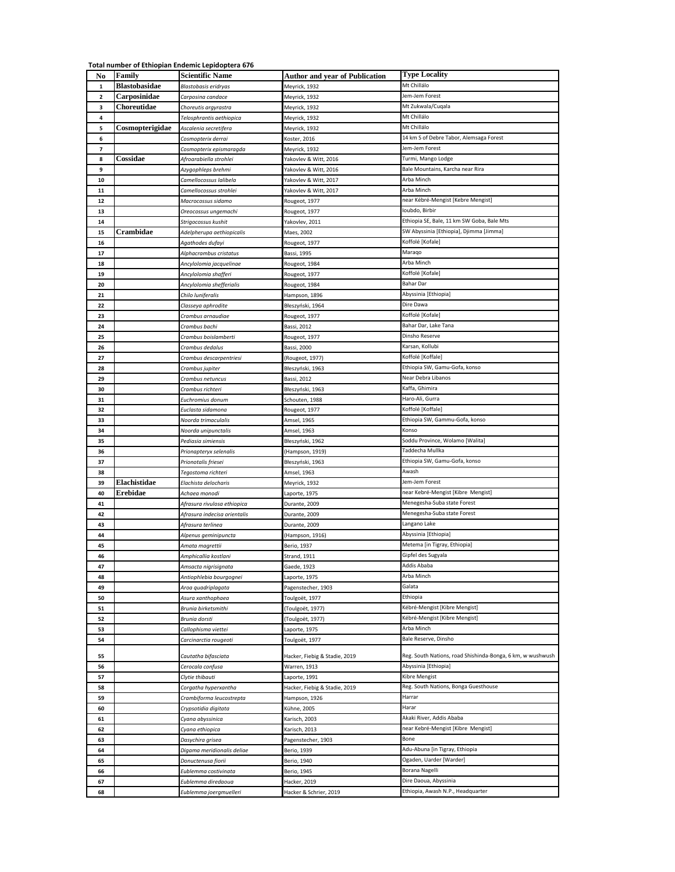## **Total number of Ethiopian Endemic Lepidoptera 676**

| No                      | Family               | <b>Scientific Name</b>       | <b>Author and year of Publication</b> | <b>Type Locality</b>                                       |
|-------------------------|----------------------|------------------------------|---------------------------------------|------------------------------------------------------------|
| $\mathbf 1$             | <b>Blastobasidae</b> | Blastobasis eridryas         | Meyrick, 1932                         | Mt Chillálo                                                |
| $\overline{\mathbf{2}}$ | Carposinidae         | Carposina candace            | Meyrick, 1932                         | Jem-Jem Forest                                             |
| з                       | Choreutidae          | Choreutis argyrastra         | Meyrick, 1932                         | Mt Zukwala/Cuqala                                          |
| 4                       |                      | Telosphrantis aethiopica     | Meyrick, 1932                         | Mt Chillálo                                                |
| 5                       | Cosmopterigidae      | Ascalenia secretifera        | Meyrick, 1932                         | Mt Chillálo                                                |
| 6                       |                      | Cosmopterix derrai           | Coster, 2016                          | 14 km S of Debre Tabor, Alemsaga Forest                    |
| 7                       |                      | Cosmopterix epismaragda      | Meyrick, 1932                         | Jem-Jem Forest                                             |
| 8                       | Cossidae             | Afroarabiella strohlei       | rakovlev & Witt, 2016                 | Turmi, Mango Lodge                                         |
| 9                       |                      | Azygophleps brehmi           | Yakovlev & Witt, 2016                 | Bale Mountains, Karcha near Rira                           |
| 10                      |                      | Camellocossus lalibela       | Yakovlev & Witt, 2017                 | Arba Minch                                                 |
| 11                      |                      | Camellocossus strohlei       | akovlev & Witt, 2017                  | Arba Minch                                                 |
| 12                      |                      | Macrocossus sidamo           | Rougeot, 1977                         | near Kébré-Mengist [Kebre Mengist]                         |
| 13                      |                      | Oreocossus ungemachi         | Rougeot, 1977                         | Ioubdo, Birbir                                             |
| 14                      |                      | Strigocossus kushit          | Yakovlev, 2011                        | Ethiopia SE, Bale, 11 km SW Goba, Bale Mts                 |
| 15                      | Crambidae            | Adelpherupa aethiopicalis    | Maes, 2002                            | SW Abyssinia [Ethiopia], Djimma [Jimma]                    |
| 16                      |                      | Agathodes dufayi             | Rougeot, 1977                         | Koffolé [Kofale]                                           |
| 17                      |                      | Alphacrambus cristatus       | Bassi, 1995                           | Maraqo                                                     |
| 18                      |                      | Ancylolomia jacquelinae      | Rougeot, 1984                         | Arba Minch                                                 |
| 19                      |                      | Ancylolomia shafferi         | Rougeot, 1977                         | Koffolé [Kofale]                                           |
| 20                      |                      | Ancylolomia shefferialis     | Rougeot, 1984                         | <b>Bahar Dar</b>                                           |
| 21                      |                      | Chilo luniferalis            | Hampson, 1896                         | Abyssinia [Ethiopia]                                       |
| 22                      |                      | Classeya aphrodite           | Błeszyński, 1964                      | Dire Dawa                                                  |
| 23                      |                      | Crambus arnaudiae            | Rougeot, 1977                         | Koffolé [Kofale]                                           |
| 24                      |                      | Crambus bachi                | Bassi, 2012                           | Bahar Dar, Lake Tana                                       |
| 25                      |                      | Crambus boislamberti         | Rougeot, 1977                         | Dinsho Reserve                                             |
| 26                      |                      | Crambus dedalus              | Bassi, 2000                           | Karsan, Kollubi                                            |
| 27                      |                      | Crambus descarpentriesi      | Rougeot, 1977)                        | Koffolé [Koffale]                                          |
| 28                      |                      | Crambus jupiter              | Błeszyński, 1963                      | Ethiopia SW, Gamu-Gofa, konso                              |
| 29                      |                      | Crambus netuncus             | Bassi, 2012                           | Near Debra Libanos                                         |
| 30                      |                      | Crambus richteri             | Błeszyński, 1963                      | Kaffa, Ghimira                                             |
| 31                      |                      | Euchromius donum             | Schouten, 1988                        | Haro-Ali, Gurra                                            |
| 32                      |                      | Euclasta sidamona            | Rougeot, 1977                         | Koffolé [Koffale]                                          |
| 33                      |                      | Noorda trimaculalis          | Amsel, 1965                           | Ethiopia SW, Gammu-Gofa, konso                             |
| 34                      |                      | Noorda unipunctalis          | Amsel, 1963                           | Konso                                                      |
| 35                      |                      | Pediasia simiensis           | Błeszyński, 1962                      | Soddu Province, Wolamo [Walita]                            |
| 36                      |                      | Prionapteryx selenalis       | Hampson, 1919)                        | Taddecha Mullka                                            |
| 37                      |                      | Prionotalis friesei          | Błeszyński, 1963                      | Ethiopia SW, Gamu-Gofa, konso                              |
| 38                      |                      | Tegostoma richteri           | Amsel, 1963                           | Awash                                                      |
| 39                      | Elachistidae         | Elachista delocharis         | Meyrick, 1932                         | Jem-Jem Forest                                             |
| 40                      | Erebidae             | Achaea monodi                | aporte, 1975.                         | near Kebré-Mengist [Kibre Mengist]                         |
| 41                      |                      | Afrasura rivulosa ethiopica  | Durante, 2009                         | Menegesha-Suba state Forest                                |
| 42                      |                      | Afrasura indecisa orientalis | Durante, 2009                         | Menegesha-Suba state Forest                                |
| 43                      |                      | Afrasura terlinea            | Durante, 2009                         | Langano Lake                                               |
| 44                      |                      | Alpenus geminipuncta         | (Hampson, 1916)                       | Abyssinia [Ethiopia]                                       |
| 45                      |                      | Amata magrettii              | Berio, 1937                           | Metema [in Tigray, Ethiopia]                               |
| 46                      |                      | Amphicallia kostlani         | Strand, 1911                          | Gipfel des Sugyala                                         |
| 47                      |                      | Amsacta nigrisignata         | Gaede, 1923                           | Addis Ababa                                                |
| 48                      |                      | Antiophlebia bourgognei      | aporte, 1975                          | Arba Minch                                                 |
| 49                      |                      | Aroa quadriplagata           | Pagenstecher, 1903                    | Galata                                                     |
| 50                      |                      | Asura xanthophaea            | Foulgoët, 1977                        | Ethiopia                                                   |
| 51                      |                      | Brunia birketsmithi          | (Toulgoët, 1977)                      | Kébré-Mengist [Kibre Mengist]                              |
| 52                      |                      | Brunia dorsti                | (Toulgoët, 1977)                      | Kébré-Mengist [Kibre Mengist]                              |
| 53                      |                      | Callophisma viettei          | aporte, 1975.                         | Arba Minch                                                 |
| 54                      |                      | Carcinarctia rougeoti        | Toulgoët, 1977                        | Bale Reserve, Dinsho                                       |
|                         |                      |                              |                                       |                                                            |
| 55                      |                      | Cautatha bifasciata          | Hacker, Fiebig & Stadie, 2019         | Reg. South Nations, road Shishinda-Bonga, 6 km, w wushwush |
| 56                      |                      | Cerocala confusa             | Warren, 1913                          | Abyssinia [Ethiopia]                                       |
| 57                      |                      | Clytie thibauti              | Laporte, 1991                         | Kibre Mengist                                              |
| 58                      |                      | Corgatha hyperxantha         | Hacker, Fiebig & Stadie, 2019         | Reg. South Nations, Bonga Guesthouse                       |
| 59                      |                      | Crambiforma leucostrepta     | Hampson, 1926                         | Harrar                                                     |
| 60                      |                      | Crypsotidia digitata         | Kühne, 2005                           | Harar                                                      |
| 61                      |                      | Cyana abyssinica             | Carisch, 2003                         | Akaki River, Addis Ababa                                   |
| 62                      |                      | Cyana ethiopica              | Carisch, 2013                         | near Kebré-Mengist [Kibre Mengist]                         |
| 63                      |                      | Dasychira grisea             | Pagenstecher, 1903                    | Bone                                                       |
| 64                      |                      | Digama meridionalis deliae   | Berio, 1939                           | Adu-Abuna [in Tigray, Ethiopia                             |
| 65                      |                      | Donuctenusa fiorii           | Berio, 1940                           | Ogaden, Uarder [Warder]                                    |
| 66                      |                      | Eublemma costivinata         | Berio, 1945                           | Borana Nagelli                                             |
| 67                      |                      | Eublemma diredaoua           | Hacker, 2019                          | Dire Daoua, Abyssinia                                      |
| 68                      |                      | Eublemma joergmuelleri       | Hacker & Schrier, 2019                | Ethiopia, Awash N.P., Headquarter                          |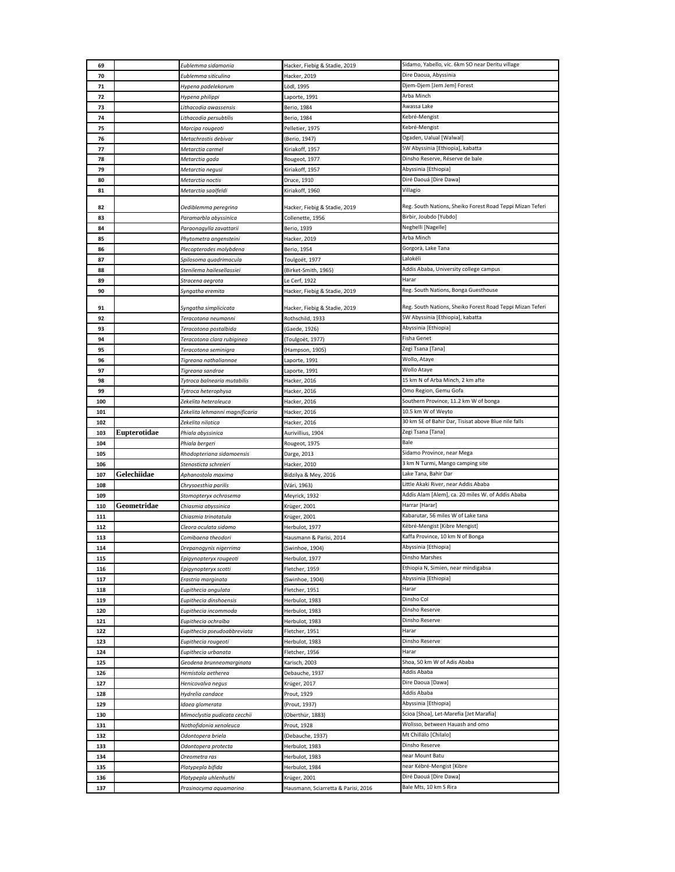| 69         |              | Eublemma sidamonia                                 | Hacker, Fiebig & Stadie, 2019                       | Sidamo, Yabello, vic. 6km SO near Deritu village          |
|------------|--------------|----------------------------------------------------|-----------------------------------------------------|-----------------------------------------------------------|
| 70         |              | Eublemma siticulina                                | Hacker, 2019                                        | Dire Daoua, Abyssinia                                     |
| 71         |              | Hypena padelekorum                                 | Lödl, 1995                                          | Djem-Djem [Jem Jem] Forest                                |
| 72         |              | Hypena philippi                                    | aporte, 1991                                        | Arba Minch                                                |
| 73         |              | Lithacodia awassensis                              | Berio, 1984                                         | Awassa Lake                                               |
| 74         |              | Lithacodia persubtilis                             | Berio, 1984                                         | Kebré-Mengist                                             |
| 75         |              |                                                    | Pelletier, 1975                                     | Kebré-Mengist                                             |
|            |              | Marcipa rougeoti                                   |                                                     | Ogaden, Ualual [Walwal]                                   |
| 76         |              | Metachrostis debivar                               | (Berio, 1947)                                       |                                                           |
| 77         |              | Metarctia carmel                                   | Kiriakoff, 1957                                     | SW Abyssinia [Ethiopia], kabatta                          |
| 78         |              | Metarctia gada                                     | Rougeot, 1977                                       | Dinsho Reserve, Réserve de bale                           |
| 79         |              | Metarctia negusi                                   | Kiriakoff, 1957                                     | Abyssinia [Ethiopia]                                      |
| 80         |              | Metarctia noctis                                   | Druce, 1910                                         | Diré Daouá [Dire Dawa]                                    |
| 81         |              | Metarctia saalfeldi                                | Kiriakoff, 1960                                     | Villagio                                                  |
|            |              |                                                    |                                                     | Reg. South Nations, Sheiko Forest Road Teppi Mizan Teferi |
| 82         |              | Oediblemma peregrina                               | Hacker, Fiebig & Stadie, 2019                       |                                                           |
| 83         |              | Paramarbla abyssinica                              | Collenette, 1956                                    | Birbir, Joubdo [Yubdo]                                    |
| 84         |              | Paraonagylla zavattarii                            | Berio, 1939                                         | Neghelli [Nagelle]                                        |
| 85         |              | Phytometra angensteini                             | Hacker, 2019                                        | Arba Minch                                                |
| 86         |              | Plecopterodes molybdena                            | Berio, 1954                                         | Gorgorà, Lake Tana                                        |
| 87         |              | Spilosoma quadrimacula                             | Toulgoët, 1977                                      | Lalokéli                                                  |
| 88         |              | Stenilema hailesellassiei                          | (Birket-Smith, 1965)                                | Addis Ababa, University college campus                    |
| 89         |              | Stracena aegrota                                   | Le Cerf, 1922                                       | Harar                                                     |
| 90         |              | Syngatha eremita                                   | Hacker, Fiebig & Stadie, 2019                       | Reg. South Nations, Bonga Guesthouse                      |
|            |              |                                                    |                                                     |                                                           |
| 91         |              | Syngatha simplicicata                              | Hacker, Fiebig & Stadie, 2019                       | Reg. South Nations, Sheiko Forest Road Teppi Mizan Teferi |
| 92         |              | Teracotona neumanni                                | Rothschild, 1933                                    | SW Abyssinia [Ethiopia], kabatta                          |
| 93         |              | Teracotona postalbida                              | (Gaede, 1926)                                       | Abyssinia [Ethiopia]                                      |
| 94         |              | Teracotona clara rubiginea                         | (Toulgoët, 1977)                                    | Fisha Genet                                               |
| 95         |              | Teracotona seminigra                               | (Hampson, 1905)                                     | Zegi Tsana [Tana]                                         |
| 96         |              | Tigreana nathaliannae                              | Laporte, 1991                                       | Wollo, Ataye                                              |
| 97         |              | Tigreana sandrae                                   | Laporte, 1991                                       | Wollo Ataye                                               |
| 98         |              | Tytroca balnearia mutabilis                        | Hacker, 2016                                        | 15 km N of Arba Minch, 2 km afte                          |
| 99         |              | Tytroca heterophysa                                | Hacker, 2016                                        | Omo Region, Gemu Gofa                                     |
| 100        |              | Zekelita heteroleuca                               | Hacker, 2016                                        | Southern Province, 11.2 km W of bonga                     |
| 101        |              | Zekelita lehmanni magnificaria                     | Hacker, 2016                                        | 10.5 km W of Weyto                                        |
| 102        |              | Zekelita nilotica                                  | Hacker, 2016                                        | 30 km SE of Bahir Dar, Tisisat above Blue nile falls      |
|            |              |                                                    |                                                     |                                                           |
| 103        | Eupterotidae | Phiala abyssinica                                  | Aurivillius, 1904                                   | Zegi Tsana [Tana]                                         |
| 104        |              | Phiala bergeri                                     | Rougeot, 1975                                       | Bale                                                      |
| 105        |              |                                                    |                                                     | Sidamo Province, near Mega                                |
| 106        |              | Rhodopteriana sidamoensis<br>Stenosticta schreieri | Darge, 2013                                         | 3 km N Turmi, Mango camping site                          |
|            |              |                                                    | Hacker, 2010                                        | Lake Tana, Bahir Dar                                      |
| 107        | Gelechiidae  | Aphanostola maxima                                 | Bidzilya & Mey, 2016                                |                                                           |
| 108        |              | Chrysoesthia parilis                               | (Vári, 1963)                                        | Little Akaki River, near Addis Ababa                      |
| 109        |              | Stomopteryx ochrosema                              | Meyrick, 1932                                       | Addis Alam [Alem], ca. 20 miles W. of Addis Ababa         |
| 110        | Geometridae  | Chiasmia abyssinica                                | Krüger, 2001                                        | Harrar [Harar]                                            |
| 111        |              | Chiasmia trinotatula                               | Krüger, 2001                                        | Kabarutar, 56 miles W of Lake tana                        |
| 112        |              | Cleora oculata sidamo                              | Herbulot, 1977                                      | Kébré-Mengist [Kibre Mengist]                             |
| 113        |              | Comibaena theodori                                 | Hausmann & Parisi, 2014                             | Kaffa Province, 10 km N of Bonga                          |
| 114        |              | Drepanogynis nigerrima                             | (Swinhoe, 1904)                                     | Abyssinia [Ethiopia]                                      |
| 115        |              | Epigynopteryx rougeoti                             | Herbulot, 1977                                      | Dinsho Marshes                                            |
| 116        |              | Epigynopteryx scotti                               | Fletcher, 1959                                      | Ethiopia N, Simien, near mindigabsa                       |
| 117        |              | Erastria marginata                                 | (Swinhoe, 1904)                                     | Abyssinia [Ethiopia]                                      |
| 118        |              | Eupithecia angulata                                | Fletcher, 1951                                      | Harar                                                     |
| 119        |              | Eupithecia dinshoensis                             | Herbulot, 1983                                      | Dinsho Col                                                |
| 120        |              | Eupithecia incommoda                               | Herbulot, 1983                                      | Dinsho Reserve                                            |
| 121        |              | Eupithecia ochralba                                | Herbulot, 1983                                      | Dinsho Reserve                                            |
| 122        |              | Eupithecia pseudoabbreviata                        | Fletcher, 1951                                      | Harar                                                     |
| 123        |              | Eupithecia rougeoti                                | Herbulot, 1983                                      | Dinsho Reserve                                            |
| 124        |              | Eupithecia urbanata                                | Fletcher, 1956                                      | Harar                                                     |
| 125        |              | Geodena brunneomarginata                           | Karisch, 2003                                       | Shoa, 50 km W of Adis Ababa                               |
| 126        |              | Hemistola aetherea                                 | Debauche, 1937                                      | Addis Ababa                                               |
| 127        |              | Henicovalva negus                                  | Krüger, 2017                                        | Dire Daoua [Dawa]                                         |
| 128        |              | Hydrelia candace                                   | Prout, 1929                                         | Addis Ababa                                               |
| 129        |              | Idaea glomerata                                    | (Prout, 1937)                                       | Abyssinia [Ethiopia]                                      |
| 130        |              | Mimoclystia pudicata cecchii                       | (Oberthür, 1883)                                    | Scioa [Shoa], Let-Marefia [Jet Marafia]                   |
| 131        |              | Nothofidonia xenoleuca                             | Prout, 1928                                         | Wolisso, between Hauash and omo                           |
| 132        |              | Odontopera briela                                  |                                                     | Mt Chillálo [Chilalo]                                     |
|            |              |                                                    | (Debauche, 1937)                                    | Dinsho Reserve                                            |
| 133        |              | Odontopera protecta                                | Herbulot, 1983                                      |                                                           |
| 134        |              | Oreometra ras                                      | Herbulot, 1983                                      | near Mount Batu                                           |
| 135        |              | Platypepla bifida                                  | Herbulot, 1984                                      | near Kébré-Mengist [Kibre                                 |
| 136<br>137 |              | Platypepla uhlenhuthi<br>Prasinocyma aquamarina    | Krüger, 2001<br>Hausmann, Sciarretta & Parisi, 2016 | Diré Daouá [Dire Dawa]<br>Bale Mts, 10 km S Rira          |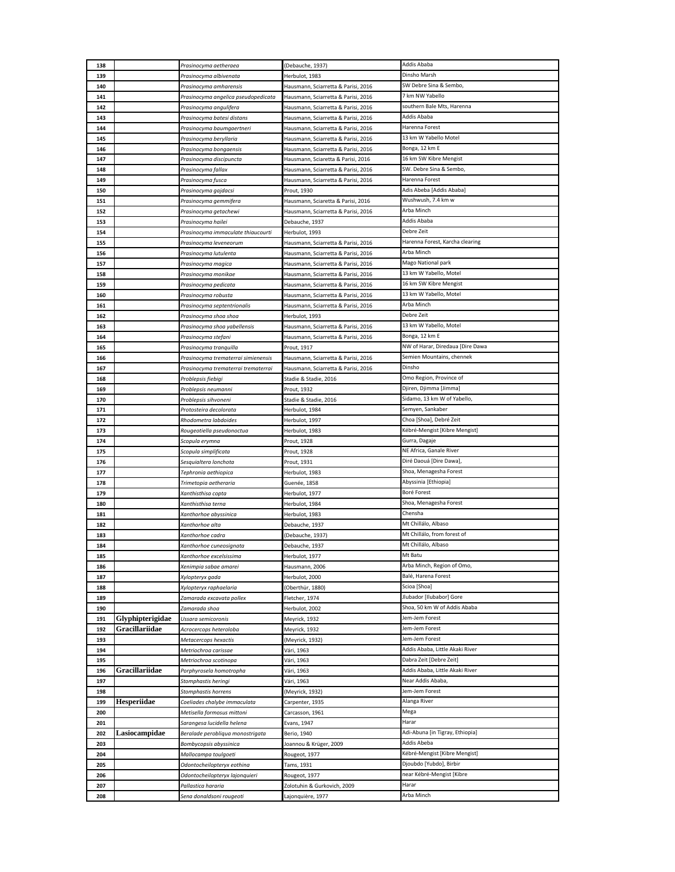| 138        |                  | Prasinocyma aetheraea                              | (Debauche, 1937)                    | Addis Ababa                                       |
|------------|------------------|----------------------------------------------------|-------------------------------------|---------------------------------------------------|
| 139        |                  | Prasinocyma albivenata                             | Herbulot, 1983                      | Dinsho Marsh                                      |
| 140        |                  | Prasinocyma amharensis                             | Hausmann, Sciarretta & Parisi, 2016 | SW Debre Sina & Sembo,                            |
| 141        |                  | Prasinocyma angelica pseudopedicata                | Hausmann, Sciarretta & Parisi, 2016 | 7 km NW Yabello                                   |
| 142        |                  | Prasinocyma angulifera                             | Hausmann, Sciarretta & Parisi, 2016 | southern Bale Mts, Harenna                        |
| 143        |                  | Prasinocyma batesi distans                         | Hausmann, Sciarretta & Parisi, 2016 | Addis Ababa                                       |
| 144        |                  | Prasinocyma baumgaertneri                          | Hausmann, Sciarretta & Parisi, 2016 | Harenna Forest                                    |
| 145        |                  | Prasinocyma beryllaria                             | Hausmann, Sciarretta & Parisi, 2016 | 13 km W Yabello Motel                             |
| 146        |                  | Prasinocyma bongaensis                             | Hausmann, Sciarretta & Parisi, 2016 | Bonga, 12 km E                                    |
| 147        |                  | Prasinocyma discipuncta                            | Hausmann, Sciaretta & Parisi, 2016  | 16 km SW Kibre Mengist                            |
| 148        |                  | Prasinocyma fallax                                 | Hausmann, Sciarretta & Parisi, 2016 | SW. Debre Sina & Sembo,                           |
| 149        |                  | Prasinocyma fusca                                  | Hausmann, Sciarretta & Parisi, 2016 | Harenna Forest                                    |
| 150        |                  | Prasinocyma gajdacsi                               | Prout, 1930                         | Adis Abeba [Addis Ababa]                          |
| 151        |                  | Prasinocyma gemmifera                              | Hausmann, Sciaretta & Parisi, 2016  | Wushwush, 7.4 km w                                |
| 152        |                  | Prasinocyma getachewi                              | Hausmann, Sciarretta & Parisi, 2016 | Arba Minch                                        |
| 153        |                  | Prasinocyma hailei                                 | Debauche, 1937                      | Addis Ababa                                       |
| 154        |                  | Prasinocyma immaculate thiaucourti                 | Herbulot, 1993                      | Debre Zeit                                        |
| 155        |                  | Prasinocyma leveneorum                             | Hausmann, Sciarretta & Parisi, 2016 | Harenna Forest, Karcha clearing                   |
| 156        |                  | Prasinocyma lutulenta                              | Hausmann, Sciarretta & Parisi, 2016 | Arba Minch                                        |
| 157        |                  | Prasinocyma magica                                 | Hausmann, Sciarretta & Parisi, 2016 | Mago National park                                |
| 158        |                  | Prasinocyma monikae                                | Hausmann, Sciarretta & Parisi, 2016 | 13 km W Yabello, Motel                            |
| 159        |                  | Prasinocyma pedicata                               | Hausmann, Sciarretta & Parisi, 2016 | 16 km SW Kibre Mengist                            |
| 160        |                  | Prasinocyma robusta                                | Hausmann, Sciarretta & Parisi, 2016 | 13 km W Yabello, Motel                            |
| 161        |                  | Prasinocyma septentrionalis                        | Hausmann, Sciarretta & Parisi, 2016 | Arba Minch                                        |
| 162        |                  | Prasinocyma shoa shoa                              | Herbulot, 1993                      | Debre Zeit                                        |
| 163        |                  | Prasinocyma shoa yabellensis                       | Hausmann, Sciarretta & Parisi, 2016 | 13 km W Yabello, Motel                            |
| 164        |                  | Prasinocyma stefani                                | Hausmann, Sciarretta & Parisi, 2016 | Bonga, 12 km E                                    |
| 165        |                  | Prasinocyma tranquilla                             | Prout, 1917                         | NW of Harar, Diredaua [Dire Dawa                  |
| 166        |                  | Prasinocyma trematerrai simienensis                | Hausmann, Sciarretta & Parisi, 2016 | Semien Mountains, chennek                         |
| 167        |                  | Prasinocyma trematerrai trematerrai                | Hausmann, Sciarretta & Parisi, 2016 | Dinsho                                            |
| 168        |                  | Problepsis fiebigi                                 | Stadie & Stadie, 2016               | Omo Region, Province of                           |
| 169        |                  | Problepsis neumanni                                | Prout, 1932                         | Djiren, Djimma [Jimma]                            |
| 170        |                  | Problepsis sihvoneni                               | Stadie & Stadie, 2016               | Sidamo, 13 km W of Yabello,                       |
| 171        |                  | Protosteira decolorata                             | Herbulot, 1984                      | Semyen, Sankaber                                  |
| 172        |                  | Rhodometra labdoides                               | Herbulot, 1997                      | Choa [Shoa], Debré Zeit                           |
| 173        |                  | Rougeotiella pseudonoctua                          | Herbulot, 1983                      | Kébré-Mengist [Kibre Mengist]                     |
| 174        |                  | Scopula erymna                                     | Prout, 1928                         | Gurra, Dagaje                                     |
| 175        |                  | Scopula simplificata                               | Prout, 1928                         | NE Africa, Ganale River                           |
| 176        |                  | Sesquialtera lonchota                              | Prout, 1931                         | Diré Daouá [Dire Dawa],                           |
| 177        |                  | Tephronia aethiopica                               | Herbulot, 1983                      | Shoa, Menagesha Forest                            |
| 178        |                  | Trimetopia aetheraria                              | Guenée, 1858                        | Abyssinia [Ethiopia]                              |
| 179        |                  | Xanthisthisa copta                                 | Herbulot, 1977                      | Boré Forest                                       |
| 180        |                  | Xanthisthisa terna                                 | Herbulot, 1984                      | Shoa, Menagesha Forest                            |
| 181        |                  | Xanthorhoe abyssinica                              | Herbulot, 1983                      | Chensha                                           |
| 182        |                  | Xanthorhoe alta                                    | Debauche, 1937                      | Mt Chillálo, Albaso                               |
| 183        |                  | Xanthorhoe cadra                                   | (Debauche, 1937)                    | Mt Chillálo, from forest of                       |
| 184        |                  | Xanthorhoe cuneosignata                            | Debauche, 1937                      | Mt Chillálo, Albaso                               |
| 185        |                  | Xanthorhoe excelsissima                            | Herbulot, 1977                      | Mt Batu                                           |
| 186        |                  | Xenimpia sabae amarei                              | Hausmann, 2006                      | Arba Minch, Region of Omo,<br>Balé, Harena Forest |
| 187        |                  | Xylopteryx gada                                    | Herbulot, 2000                      | Scioa [Shoa]                                      |
| 188<br>189 |                  | Xylopteryx raphaelaria<br>Zamarada excavata pollex | (Oberthür, 1880)<br>Fletcher, 1974  | Jlubador [Ilubabor] Gore                          |
| 190        |                  | Zamarada shoa                                      | Herbulot, 2002                      | Shoa, 50 km W of Addis Ababa                      |
| 191        | Glyphipterigidae | Ussara semicoronis                                 | Meyrick, 1932                       | Jem-Jem Forest                                    |
| 192        | Gracillariidae   | Acrocercops heteroloba                             | Meyrick, 1932                       | Jem-Jem Forest                                    |
| 193        |                  | Metacercops hexactis                               | (Meyrick, 1932)                     | Jem-Jem Forest                                    |
| 194        |                  | Metriochroa carissae                               | Vári, 1963                          | Addis Ababa, Little Akaki River                   |
| 195        |                  | Metriochroa scotinopa                              | Vári, 1963                          | Dabra Zeit [Debre Zeit]                           |
| 196        | Gracillariidae   | Porphyrosela homotropha                            | Vári, 1963                          | Addis Ababa, Little Akaki River                   |
| 197        |                  | Stomphastis heringi                                | Vári, 1963                          | Near Addis Ababa,                                 |
| 198        |                  | Stomphastis horrens                                | (Meyrick, 1932)                     | Jem-Jem Forest                                    |
| 199        | Hesperiidae      | Coeliades chalybe immaculata                       | Carpenter, 1935                     | Alanga River                                      |
| 200        |                  | Metisella formosus mittoni                         | Carcasson, 1961                     | Mega                                              |
| 201        |                  | Sarangesa lucidella helena                         | Evans, 1947                         | Harar                                             |
| 202        | Lasiocampidae    | Beralade perobliqua monostrigata                   | Berio, 1940                         | Adi-Abuna [in Tigray, Ethiopia]                   |
| 203        |                  | Bombycopsis abyssinica                             | Joannou & Krüger, 2009              | Addis Abeba                                       |
| 204        |                  | Mallocampa toulgoeti                               | Rougeot, 1977                       | Kébré-Mengist [Kibre Mengist]                     |
| 205        |                  | Odontocheilopteryx eothina                         | Tams, 1931                          | Djoubdo [Yubdo], Birbir                           |
|            |                  |                                                    |                                     |                                                   |
| 206        |                  | Odontocheilopteryx lajonquieri                     | Rougeot, 1977                       | near Kébré-Mengist [Kibre                         |
| 207        |                  | Pallastica hararia                                 | Zolotuhin & Gurkovich, 2009         | Harar                                             |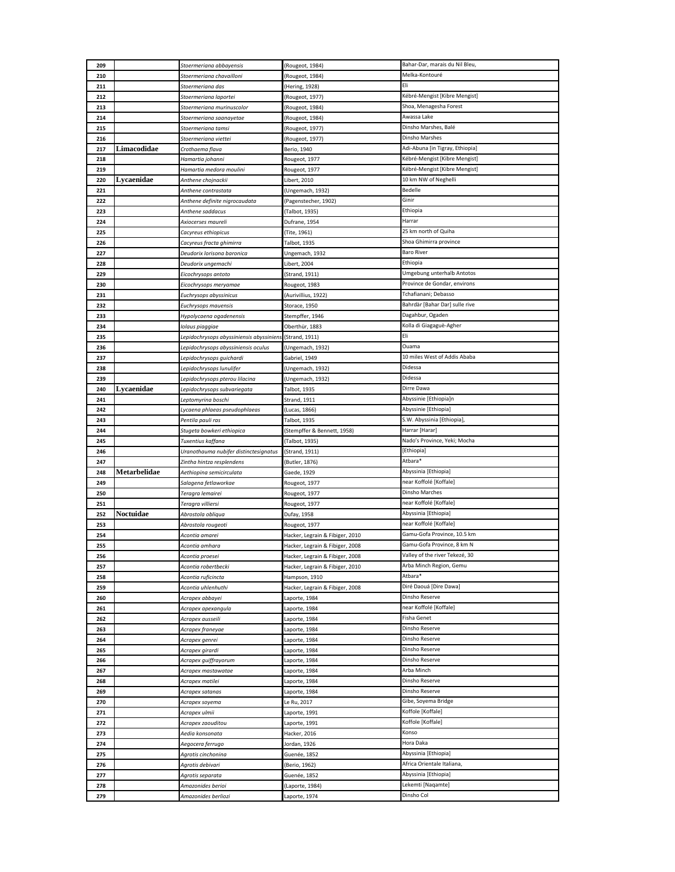| 209        |              | Stoermeriana abbayensis                  | (Rougeot, 1984)                 | Bahar-Dar, marais du Nil Bleu,   |
|------------|--------------|------------------------------------------|---------------------------------|----------------------------------|
| 210        |              | Stoermeriana chavailloni                 | (Rougeot, 1984)                 | Melka-Kontouré                   |
| 211        |              | Stoermeriana das                         | (Hering, 1928)                  | Eli                              |
| 212        |              | Stoermeriana laportei                    | (Rougeot, 1977)                 | Kébré-Mengist [Kibre Mengist]    |
| 213        |              | Stoermeriana murinuscolor                | (Rougeot, 1984)                 | Shoa, Menagesha Forest           |
| 214        |              | Stoermeriana saanayetae                  | (Rougeot, 1984)                 | Awassa Lake                      |
| 215        |              | Stoermeriana tamsi                       | (Rougeot, 1977)                 | Dinsho Marshes, Balé             |
| 216        |              | Stoermeriana viettei                     | (Rougeot, 1977)                 | Dinsho Marshes                   |
| 217        | Limacodidae  | Crothaema flava                          | Berio, 1940                     | Adi-Abuna [in Tigray, Ethiopia]  |
| 218        |              | Hamartia johanni                         | Rougeot, 1977                   | Kébré-Mengist [Kibre Mengist]    |
| 219        |              | Hamartia medora moulini                  | Rougeot, 1977                   | Kébré-Mengist [Kibre Mengist]    |
| 220        | Lycaenidae   | Anthene chojnackii                       | Libert, 2010                    | 10 km NW of Neghelli             |
| 221        |              | Anthene contrastata                      | (Ungemach, 1932)                | Bedelle                          |
| 222        |              | Anthene definite nigrocaudata            | (Pagenstecher, 1902)            | Ginir                            |
| 223        |              | Anthene saddacus                         | (Talbot, 1935)                  | Ethiopia                         |
| 224        |              | Axiocerses maureli                       | Dufrane, 1954                   | Harrar                           |
| 225        |              | Cacyreus ethiopicus                      | (Tite, 1961)                    | 25 km north of Quiha             |
| 226        |              | Cacyreus fracta ghimirra                 | Talbot, 1935                    | Shoa Ghimirra province           |
| 227        |              | Deudorix lorisona baronica               | Ungemach, 1932                  | <b>Baro River</b>                |
| 228        |              | Deudorix ungemachi                       | Libert, 2004                    | Ethiopia                         |
| 229        |              | Eicochrysops antoto                      | (Strand, 1911)                  | Umgebung unterhalb Antotos       |
| 230        |              | Eicochrysops meryamae                    | Rougeot, 1983                   | Province de Gondar, environs     |
| 231        |              | Euchrysops abyssinicus                   | (Aurivillius, 1922)             | Tchafianani; Debasso             |
| 232        |              | Euchrysops mauensis                      | Storace, 1950                   | Bahrdàr [Bahar Dar] sulle rive   |
| 233        |              | Hypolycaena ogadenensis                  | Stempffer, 1946                 | Dagahbur, Ogaden                 |
| 234        |              | Iolaus piaggiae                          | Oberthür, 1883                  | Kolla di Giagaguè-Agher          |
| 235        |              | Lepidochrysops abyssiniensis abyssiniens | (Strand, 1911)                  | Eli                              |
| 236        |              | Lepidochrysops abyssiniensis oculus      | (Ungemach, 1932)                | Ouama                            |
| 237        |              | Lepidochrysops guichardi                 | Gabriel, 1949                   | 10 miles West of Addis Ababa     |
| 238        |              | Lepidochrysops lunulifer                 | (Ungemach, 1932)                | Didessa                          |
| 239        |              | Lepidochrysops pterou lilacina           | (Ungemach, 1932)                | Didessa                          |
| 240        | Lycaenidae   | Lepidochrysops subvariegata              | Talbot, 1935                    | Dirre Dawa                       |
| 241        |              | Leptomyrina boschi                       | Strand, 1911                    | Abyssinie [Ethiopia]n            |
| 242        |              | Lycaena phlaeas pseudophlaeas            | (Lucas, 1866)                   | Abyssinie [Ethiopia]             |
| 243        |              | Pentila pauli ras                        | Talbot, 1935                    | S.W. Abyssinia [Ethiopia],       |
|            |              |                                          |                                 |                                  |
| 244        |              | Stugeta bowkeri ethiopica                | (Stempffer & Bennett, 1958)     | Harrar [Harar]                   |
| 245        |              | Tuxentius kaffana                        | (Talbot, 1935)                  | Nado's Province, Yeki; Mocha     |
| 246        |              | Uranothauma nubifer distinctesignatus    | (Strand, 1911)                  | [Ethiopia]                       |
| 247        |              | Zintha hintza resplendens                | (Butler, 1876)                  | Atbara*                          |
| 248        | Metarbelidae | Aethiopina semicirculata                 | Gaede, 1929                     | Abyssinia [Ethiopia]             |
| 249        |              | Salagena fetlaworkae                     | Rougeot, 1977                   | near Koffolé [Koffale]           |
| 250        |              | Teragra lemairei                         | Rougeot, 1977                   | Dinsho Marches                   |
| 251        |              | Teragra villiersi                        | Rougeot, 1977                   | near Koffolé [Koffale]           |
| 252        | Noctuidae    | Abrostola obliqua                        | Dufay, 1958                     | Abyssinia [Ethiopia]             |
| 253        |              | Abrostola rougeoti                       | Rougeot, 1977                   | near Koffolé [Koffale]           |
| 254        |              | Acontia amarei                           | Hacker, Legrain & Fibiger, 2010 | Gamu-Gofa Province, 10.5 km      |
| 255        |              | Acontia amhara                           | Hacker, Legrain & Fibiger, 2008 | Gamu-Gofa Province, 8 km N       |
| 256        |              | Acontia proesei                          | Hacker, Legrain & Fibiger, 2008 | Valley of the river Tekezé, 30   |
| 257        |              | Acontia robertbecki                      | Hacker, Legrain & Fibiger, 2010 | Arba Minch Region, Gemu          |
| 258        |              | Acontia ruficincta                       | Hampson, 1910                   | Atbara*                          |
| 259        |              | Acontia uhlenhuthi                       | Hacker, Legrain & Fibiger, 2008 | Diré Daouá [Dire Dawa]           |
| 260        |              | Acrapex abbayei                          | Laporte, 1984                   | Dinsho Reserve                   |
| 261        |              | Acrapex apexangula                       | Laporte, 1984                   | near Koffolé [Koffale]           |
| 262        |              | Acrapex ausseili                         | aporte, 1984                    | Fisha Genet                      |
| 263        |              | Acrapex franeyae                         | Laporte, 1984                   | Dinsho Reserve<br>Dinsho Reserve |
| 264        |              | Acrapex genrei                           | Laporte, 1984                   |                                  |
| 265        |              | Acrapex girardi                          | Laporte, 1984                   | Dinsho Reserve<br>Dinsho Reserve |
| 266<br>267 |              | Acrapex guiffrayorum                     | Laporte, 1984<br>Laporte, 1984  | Arba Minch                       |
|            |              | Acrapex mastawatae                       |                                 | Dinsho Reserve                   |
| 268<br>269 |              | Acrapex matilei                          | Laporte, 1984                   | Dinsho Reserve                   |
| 270        |              | Acrapex satanas                          | Laporte, 1984                   | Gibe, Soyema Bridge              |
| 271        |              | Acrapex soyema                           | Le Ru, 2017                     | Koffole [Koffale]                |
| 272        |              | Acrapex ulmii                            | Laporte, 1991                   | Koffole [Koffale]                |
| 273        |              | Acrapex zaouditou                        | Laporte, 1991                   | Konso                            |
| 274        |              | Aedia konsonata                          | Hacker, 2016                    | Hora Daka                        |
|            |              | Aegocera ferrugo                         | Jordan, 1926                    | Abyssinia [Ethiopia]             |
| 275<br>276 |              | Agrotis cinchonina                       | Guenée, 1852                    | Africa Orientale Italiana,       |
| 277        |              | Agrotis debivari<br>Agrotis separata     | (Berio, 1962)<br>Guenée, 1852   | Abyssinia [Ethiopia]             |
| 278        |              | Amazonides berioi                        | (Laporte, 1984)                 | Lekemti [Naqamte]                |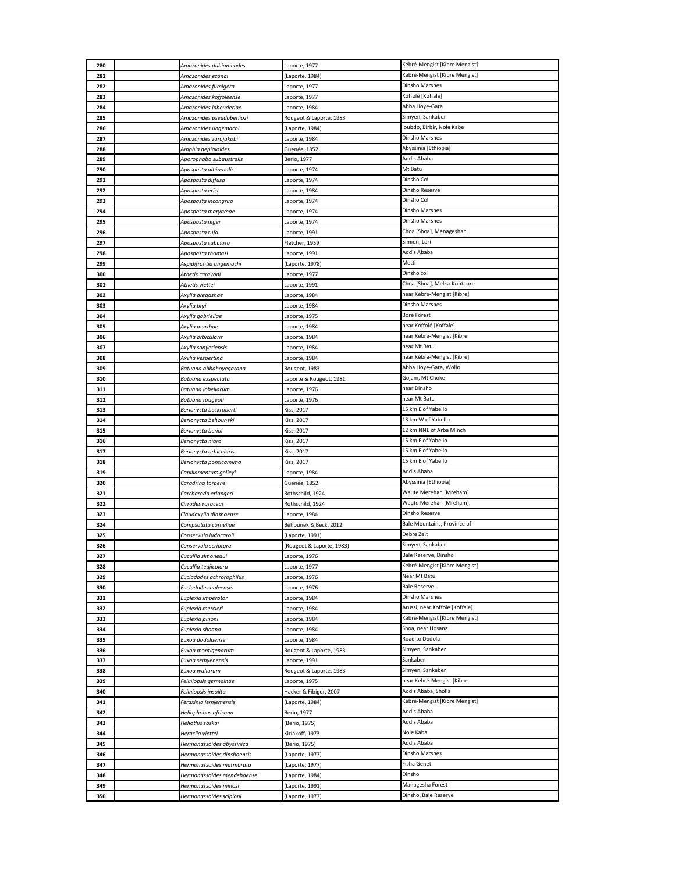| 280        | Amazonides dubiomeodes                | Laporte, 1977                    | Kébré-Mengist [Kibre Mengist]                    |
|------------|---------------------------------------|----------------------------------|--------------------------------------------------|
| 281        | Amazonides ezanai                     | (Laporte, 1984)                  | Kébré-Mengist [Kibre Mengist]                    |
| 282        | Amazonides fumigera                   | Laporte, 1977                    | Dinsho Marshes                                   |
| 283        | Amazonides koffoleense                | Laporte, 1977                    | Koffolé [Koffale]                                |
| 284        | Amazonides laheuderiae                | Laporte, 1984                    | Abba Hoye-Gara                                   |
| 285        | Amazonides pseudoberliozi             | Rougeot & Laporte, 1983          | Simyen, Sankaber                                 |
| 286        | Amazonides ungemachi                  | (Laporte, 1984)                  | Ioubdo, Birbir, Nole Kabe                        |
| 287        | Amazonides zarajakobi                 | Laporte, 1984                    | Dinsho Marshes                                   |
| 288        | Amphia hepialoides                    | Guenée, 1852                     | Abyssinia [Ethiopia]                             |
| 289        | Aporophoba subaustralis               | Berio, 1977                      | Addis Ababa                                      |
| 290        | Apospasta albirenalis                 | Laporte, 1974                    | Mt Batu                                          |
| 291        | Apospasta diffusa                     | Laporte, 1974                    | Dinsho Col                                       |
| 292        | Apospasta erici                       | Laporte, 1984                    | Dinsho Reserve                                   |
| 293        | Apospasta incongrua                   | Laporte, 1974                    | Dinsho Col                                       |
| 294        | Apospasta maryamae                    | Laporte, 1974                    | Dinsho Marshes                                   |
| 295        | Apospasta niger                       | Laporte, 1974                    | Dinsho Marshes                                   |
| 296        | Apospasta rufa                        | Laporte, 1991                    | Choa [Shoa], Menageshah                          |
| 297        | Apospasta sabulosa                    | Fletcher, 1959                   | Simien, Lori                                     |
| 298        | Apospasta thomasi                     | Laporte, 1991                    | Addis Ababa                                      |
| 299        | Aspidifrontia ungemachi               | (Laporte, 1978)                  | Metti                                            |
| 300        | Athetis carayoni                      | Laporte, 1977                    | Dinsho col                                       |
| 301        | Athetis viettei                       | Laporte, 1991                    | Choa [Shoa], Melka-Kontoure                      |
| 302        | Axylia aregashae                      | Laporte, 1984                    | near Kébré-Mengist [Kibre]                       |
| 303        | Axylia bryi                           | Laporte, 1984                    | Dinsho Marshes                                   |
| 304        | Axylia gabriellae                     | Laporte, 1975                    | Boré Forest                                      |
| 305        | Axylia marthae                        | Laporte, 1984                    | near Koffolé [Koffale]                           |
| 306        | Axylia orbicularis                    | Laporte, 1984                    | near Kébré-Mengist [Kibre                        |
| 307        | Axylia sanyetiensis                   | Laporte, 1984                    | near Mt Batu                                     |
| 308        | Axylia vespertina                     | Laporte, 1984                    | near Kébré-Mengist [Kibre]                       |
| 309        | Batuana abbahoyegarana                | Rougeot, 1983                    | Abba Hoye-Gara, Wollo                            |
| 310        | Batuana exspectata                    | Laporte & Rougeot, 1981          | Gojam, Mt Choke<br>near Dinsho                   |
| 311        | Batuana lobeliarum                    | Laporte, 1976                    | near Mt Batu                                     |
| 312        | Batuana rougeoti                      | Laporte, 1976                    | 15 km E of Yabello                               |
| 313<br>314 | Berionycta beckroberti                | Kiss, 2017<br>Kiss, 2017         | 13 km W of Yabello                               |
| 315        | Berionycta behouneki                  |                                  | 12 km NNE of Arba Minch                          |
| 316        | Berionycta berioi<br>Berionycta nigra | Kiss, 2017<br>Kiss, 2017         | 15 km E of Yabello                               |
| 317        | Berionycta orbicularis                | Kiss, 2017                       | 15 km E of Yabello                               |
| 318        | Berionycta ponticamima                | Kiss, 2017                       | 15 km E of Yabello                               |
| 319        | Capillamentum gelleyi                 | Laporte, 1984                    | Addis Ababa                                      |
| 320        | Caradrina torpens                     | Guenée, 1852                     | Abyssinia [Ethiopia]                             |
| 321        | Carcharoda erlangeri                  | Rothschild, 1924                 | Waute Merehan [Mreham]                           |
| 322        | Cirrodes rosaceus                     | Rothschild, 1924                 | Waute Merehan [Mreham]                           |
| 323        | Claudaxylia dinshoense                | Laporte, 1984                    | Dinsho Reserve                                   |
| 324        | Compsotata corneliae                  | Behounek & Beck, 2012            | Bale Mountains, Province of                      |
| 325        | Conservula ludocaroli                 | (Laporte, 1991)                  | Debre Zeit                                       |
| 326        | Conservula scriptura                  | (Rougeot & Laporte, 1983)        | Simyen, Sankaber                                 |
| 327        | Cucullia simoneaui                    | Laporte, 1976                    | Bale Reserve, Dinsho                             |
| 328        | Cucullia tedjicolora                  | Laporte, 1977                    | Kébré-Mengist [Kibre Mengist]                    |
| 329        | Eucladodes achrorophilus              | Laporte, 1976                    | Near Mt Batu                                     |
| 330        | Eucladodes baleensis                  | Laporte, 1976                    | <b>Bale Reserve</b>                              |
| 331        | Euplexia imperator                    | Laporte, 1984                    | Dinsho Marshes                                   |
| 332        | Euplexia mercieri                     | Laporte, 1984                    | Arussi, near Koffolé [Koffale]                   |
| 333        | Euplexia pinoni                       | Laporte, 1984                    | Kébré-Mengist [Kibre Mengist]                    |
| 334        | Euplexia shoana                       | Laporte, 1984                    | Shoa, near Hosana                                |
| 335        | Euxoa dodolaense                      | Laporte, 1984                    | Road to Dodola                                   |
| 336        | Euxoa montigenarum                    | Rougeot & Laporte, 1983          | Simyen, Sankaber                                 |
| 337        | Euxoa semyenensis                     | Laporte, 1991                    | Sankaber                                         |
| 338        | Euxoa waliarum                        | Rougeot & Laporte, 1983          | Simyen, Sankaber                                 |
| 339        | Feliniopsis germainae                 | Laporte, 1975                    | near Kebré-Mengist [Kibre<br>Addis Ababa, Sholla |
| 340        | Feliniopsis insolita                  | Hacker & Fibiger, 2007           | Kébré-Mengist [Kibre Mengist]                    |
| 341<br>342 | Feraxinia jemjemensis                 | (Laporte, 1984)<br>Berio, 1977   | Addis Ababa                                      |
|            | Heliophobus africana                  |                                  | Addis Ababa                                      |
| 343<br>344 | Heliothis saskai<br>Heraclia viettei  | (Berio, 1975)<br>Kiriakoff, 1973 | Nole Kaba                                        |
| 345        | Hermonassoides abyssinica             | (Berio, 1975)                    | Addis Ababa                                      |
| 346        | Hermonassoides dinshoensis            | (Laporte, 1977)                  | Dinsho Marshes                                   |
| 347        | Hermonassoides marmorata              | (Laporte, 1977)                  | Fisha Genet                                      |
| 348        | Hermonassoides mendeboense            | (Laporte, 1984)                  | Dinsho                                           |
| 349        | Hermonassoides minosi                 | (Laporte, 1991)                  | Managesha Forest                                 |
| 350        | Hermonassoides scipioni               | (Laporte, 1977)                  | Dinsho, Bale Reserve                             |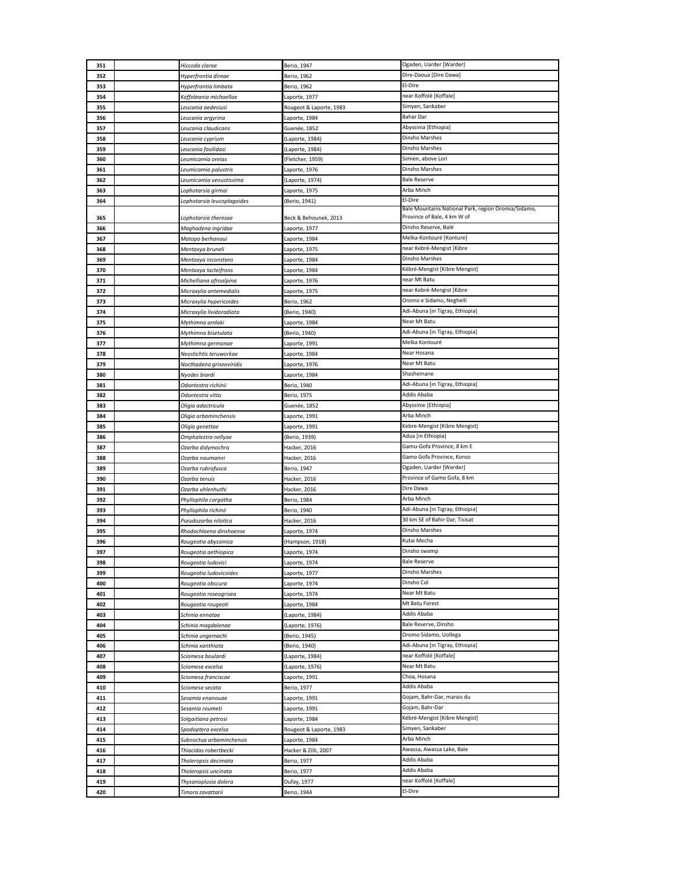| 351        | Hiccoda clarae                                     | Berio, 1947                    | Ogaden, Uarder [Warder]                                        |
|------------|----------------------------------------------------|--------------------------------|----------------------------------------------------------------|
| 352        | Hyperfrontia direae                                | Berio, 1962                    | Dire-Daoua [Dire Dawa]                                         |
| 353        | Hyperfrontia limbata                               | Berio, 1962                    | El-Dire                                                        |
| 354        | Koffoleania michaellae                             | Laporte, 1977                  | near Koffolé [Koffale]                                         |
| 355        | Leucania aedesiusi                                 | Rougeot & Laporte, 1983        | Simyen, Sankaber                                               |
| 356        | Leucania argyrina                                  | Laporte, 1984                  | <b>Bahar Dar</b>                                               |
| 357        | Leucania claudicans                                | Guenée, 1852                   | Abyssinia [Ethiopia]                                           |
| 358        | Leucania cyprium                                   | (Laporte, 1984)                | Dinsho Marshes                                                 |
| 359        | Leucania fasilidasi                                | (Laporte, 1984)                | Dinsho Marshes                                                 |
| 360        | Leumicamia oreias                                  | (Fletcher, 1959)               | Simien, above Lori                                             |
| 361        | Leumicamia palustris                               | Laporte, 1976                  | Dinsho Marshes                                                 |
| 362        | Leumicamia venustissima                            | (Laporte, 1974)                | <b>Bale Reserve</b>                                            |
| 363        | Lophotarsia girmai                                 | Laporte, 1975                  | Arba Minch                                                     |
| 364        | Lophotarsia leucoplagoides                         | (Berio, 1941)                  | El-Dire<br>Bale Mountains National Park, region Oromia/Sidamo, |
| 365        | Lophotarsia theresae                               | Beck & Behounek, 2013          | Province of Bale, 4 km W of                                    |
| 366        | Maghadena ingridae                                 | Laporte, 1977                  | Dinsho Reserve, Balé                                           |
| 367        | Matopo berhanoui                                   | Laporte, 1984                  | Melka-Kontouré [Konture]                                       |
| 368        | Mentaxya bruneli                                   | Laporte, 1975                  | near Kebré-Mengist [Kibre                                      |
| 369        | Mentaxya inconstans                                | Laporte, 1984                  | Dinsho Marshes                                                 |
| 370        | Mentaxya lacteifrons                               | Laporte, 1984                  | Kébré-Mengist [Kibre Mengist]                                  |
| 371        | Michelliana afroalpina                             | Laporte, 1976                  | near Mt Batu                                                   |
| 372        | Micraxylia antemedialis                            | Laporte, 1975                  | near Kebré-Mengist [Kibre                                      |
| 373        | Micraxylia hypericoides                            | Berio, 1962                    | Oromo e Sidamo, Neghelli                                       |
| 374        | Micraxylia lividoradiata                           | (Berio, 1940)                  | Adi-Abuna [in Tigray, Ethiopia]                                |
| 375        | Mythimna amlaki                                    | Laporte, 1984                  | Near Mt Batu                                                   |
| 376        | Mythimna bisetulata                                | (Berio, 1940)                  | Adi-Abuna [in Tigray, Ethiopia]                                |
| 377        | Mythimna germanae                                  | Laporte, 1991                  | Melka Kontouré<br>Near Hosana                                  |
| 378<br>379 | Neostichtis teruworkae<br>Nocthadena griseoviridis | Laporte, 1984                  | Near Mt Batu                                                   |
| 380        | Nyodes biardi                                      | Laporte, 1976<br>Laporte, 1984 | Shashemane                                                     |
| 381        | Odontestra richinii                                | Berio, 1940                    | Adi-Abuna [in Tigray, Ethiopia]                                |
| 382        | Odontestra vitta                                   | Berio, 1975                    | Addis Ababa                                                    |
| 383        | Oligia adactricula                                 | Guenée, 1852                   | Abyssinie [Ethiopia]                                           |
| 384        | Oligia arbaminchensis                              | Laporte, 1991                  | Arba Minch                                                     |
| 385        | Oligia genettae                                    | Laporte, 1991                  | Kebre-Mengist [Kibre Mengist]                                  |
| 386        | Omphalestra nellyae                                | (Berio, 1939)                  | Adua [in Ethiopia]                                             |
| 387        | Ozarba didymochra                                  | Hacker, 2016                   | Gamu-Gofa Province, 8 km E                                     |
| 388        | Ozarba naumanni                                    | Hacker, 2016                   | Gamo Gofa Province, Konso                                      |
| 389        | Ozarba rubrofusca                                  | Berio, 1947                    | Ogaden, Uarder [Werder]                                        |
| 390        | Ozarba tenuis                                      | Hacker, 2016                   | Province of Gamo Gofa, 8 km<br>Dire Dawa                       |
| 391        | Ozarba uhlenhuthi                                  | Hacker, 2016                   | Arba Minch                                                     |
| 392<br>393 | Phyllophila corgatha<br>Phyllophila richinii       | Berio, 1984<br>Berio, 1940     | Adi-Abuna [in Tigray, Ethiopia]                                |
| 394        | Pseudozarba nilotica                               | Hacker, 2016                   | 30 km SE of Bahir Dar, Tisisat                                 |
| 395        | Rhodochlaena dinshoense                            | Laporte, 1974                  | Dinsho Marshes                                                 |
| 396        | Rougeotia abyssinica                               | (Hampson, 1918)                | Kutai Mecha                                                    |
| 397        | Rougeotia gethiopica                               | aporte, 1974                   | Dinsho swamp                                                   |
| 398        | Rougeotia ludovici                                 | Laporte, 1974                  | <b>Bale Reserve</b>                                            |
| 399        | Rougeotia ludovicoides                             | Laporte, 1977                  | Dinsho Marshes                                                 |
| 400        | Rougeotia obscura                                  | Laporte, 1974                  | Dinsho Col                                                     |
| 401        | Rougeotia roseogrisea                              | Laporte, 1974                  | Near Mt Batu                                                   |
| 402        | Rougeotia rougeoti                                 | Laporte, 1984                  | Mt Batu Forest                                                 |
| 403        | Schinia ennatae                                    | (Laporte, 1984)                | Addis Ababa                                                    |
| 404        | Schinia magdalenae                                 | (Laporte, 1976)                | Bale Reserve, Dinsho                                           |
| 405<br>406 | Schinia ungemachi<br>Schinia xanthiata             | (Berio, 1945)<br>Berio, 1940)  | Oromo Sidamo, Uollega<br>Adi-Abuna [in Tigray, Ethiopia]       |
| 407        | Sciomesa boulardi                                  | (Laporte, 1984)                | near Koffolé [Koffale]                                         |
| 408        | Sciomesa excelsa                                   | (Laporte, 1976)                | Near Mt Batu                                                   |
| 409        | Sciomesa franciscae                                | Laporte, 1991                  | Choa, Hosana                                                   |
| 410        | Sciomesa secata                                    | Berio, 1977                    | Addis Ababa                                                    |
| 411        | Sesamia enanouae                                   | Laporte, 1991                  | Gojam, Bahr-Dar, marais du                                     |
| 412        | Sesamia roumeti                                    | Laporte, 1991                  | Gojam, Bahr-Dar                                                |
| 413        | Solgaitiana petrosi                                | Laporte, 1984                  | Kébré-Mengist [Kibre Mengist]                                  |
| 414        | Spodoptera excelsa                                 | Rougeot & Laporte, 1983        | Simyen, Sankaber                                               |
| 415        | Subnoctua arbaminchensis                           | Laporte, 1984                  | Arba Minch                                                     |
| 416        | Thiacidas robertbecki                              | Hacker & Zilli, 2007           | Awassa, Awassa Lake, Bale                                      |
| 417        | Tholeropsis decimata                               | Berio, 1977                    | Addis Ababa                                                    |
| 418        | Tholeropsis uncinata                               | Berio, 1977                    | Addis Ababa<br>near Koffolé [Koffale]                          |
| 419        | Thysanoplusia dolera<br>Timora zavattarii          | Dufay, 1977<br>Berio, 1944     | El-Dire                                                        |
| 420        |                                                    |                                |                                                                |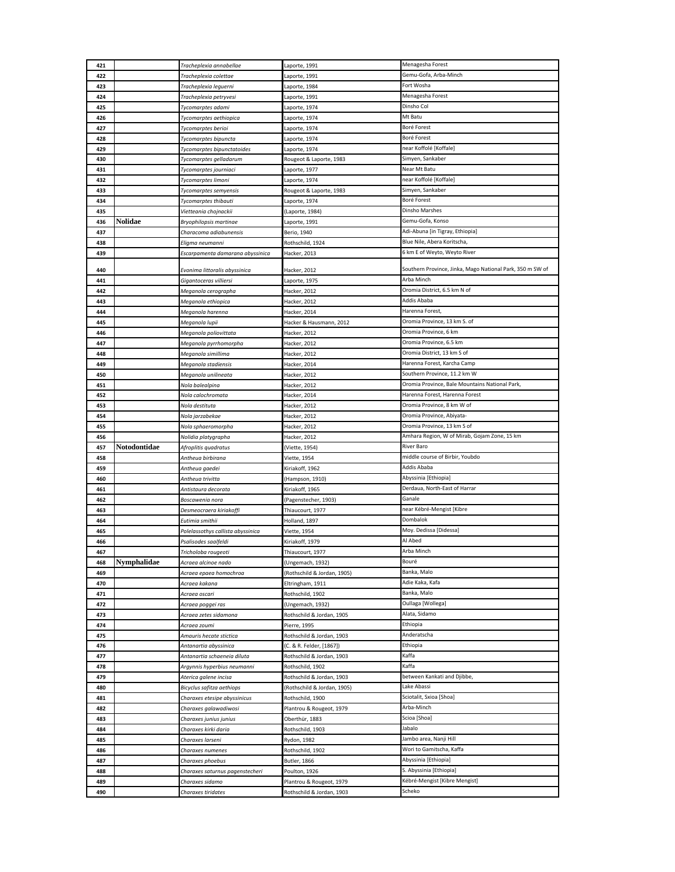|            |              | Tracheplexia annabellae                            | Laporte, 1991                             | Menagesha Forest                                          |
|------------|--------------|----------------------------------------------------|-------------------------------------------|-----------------------------------------------------------|
| 422        |              | Tracheplexia colettae                              | Laporte, 1991                             | Gemu-Gofa, Arba-Minch                                     |
| 423        |              | Tracheplexia leguerni                              | Laporte, 1984                             | Fort Wosha                                                |
| 424        |              | Tracheplexia petryvesi                             | Laporte, 1991                             | Menagesha Forest                                          |
| 425        |              | Tycomarptes adami                                  | Laporte, 1974                             | Dinsho Col                                                |
| 426        |              | Tycomarptes aethiopica                             | Laporte, 1974                             | Mt Batu                                                   |
| 427        |              | Tycomarptes berioi                                 | Laporte, 1974                             | Boré Forest                                               |
| 428        |              | Tycomarptes bipuncta                               | Laporte, 1974                             | Boré Forest                                               |
| 429        |              | Tycomarptes bipunctatoides                         | Laporte, 1974                             | near Koffolé [Koffale]                                    |
| 430        |              | Tycomarptes gelladarum                             | Rougeot & Laporte, 1983                   | Simyen, Sankaber                                          |
| 431        |              | Tycomarptes journiaci                              | Laporte, 1977                             | Near Mt Batu                                              |
| 432        |              | Tycomarptes limoni                                 | Laporte, 1974                             | near Koffolé [Koffale]                                    |
| 433        |              | Tycomarptes semyensis                              | Rougeot & Laporte, 1983                   | Simyen, Sankaber                                          |
| 434        |              | Tycomarptes thibauti                               | Laporte, 1974                             | Boré Forest                                               |
| 435        |              | Vietteania chojnackii                              | (Laporte, 1984)                           | Dinsho Marshes                                            |
| 436        | Nolidae      | Bryophilopsis martinae                             | Laporte, 1991                             | Gemu-Gofa, Konso                                          |
| 437        |              | Characoma adiabunensis                             | Berio, 1940                               | Adi-Abuna [in Tigray, Ethiopia]                           |
| 438        |              | Eligma neumanni                                    | Rothschild, 1924                          | Blue Nile, Abera Koritscha,                               |
| 439        |              | Escarpamenta damarana abyssinica                   | Hacker, 2013                              | 6 km E of Weyto, Weyto River                              |
| 440        |              | Evonima littoralis abyssinica                      | Hacker, 2012                              | Southern Province, Jinka, Mago National Park, 350 m SW of |
| 441        |              | Gigantoceras villiersi                             | Laporte, 1975                             | Arba Minch                                                |
| 442        |              | Meganola cerographa                                | Hacker, 2012                              | Oromia District, 6.5 km N of                              |
| 443        |              | Meganola ethiopica                                 | Hacker, 2012                              | Addis Ababa                                               |
| 444        |              | Meganola harenna                                   | Hacker, 2014                              | Harenna Forest,                                           |
| 445        |              | Meganola lupii                                     | Hacker & Hausmann, 2012                   | Oromia Province, 13 km S. of                              |
| 446        |              | Meganola poliovittata                              | Hacker, 2012                              | Oromia Province, 6 km                                     |
| 447        |              | Meganola pyrrhomorpha                              | Hacker, 2012                              | Oromia Province, 6.5 km                                   |
| 448        |              | Meganola simillima                                 | Hacker, 2012                              | Oromia District, 13 km S of                               |
| 449        |              | Meganola stadiensis                                | Hacker, 2014                              | Harenna Forest, Karcha Camp                               |
| 450        |              | Meganola unilineata                                | Hacker, 2012                              | Southern Province, 11.2 km W                              |
| 451        |              | Nola balealpina                                    | Hacker, 2012                              | Oromia Province, Bale Mountains National Park,            |
| 452        |              | Nola calochromata                                  | Hacker, 2014                              | Harenna Forest, Harenna Forest                            |
| 453        |              | Nola destituta                                     | Hacker, 2012                              | Oromia Province, 8 km W of                                |
| 454<br>455 |              | Nola jarzabekae                                    | Hacker, 2012<br>Hacker, 2012              | Oromia Province, Abiyata-<br>Oromia Province, 13 km S of  |
| 456        |              | Nola sphaeromorpha<br>Nolidia platygrapha          | Hacker, 2012                              | Amhara Region, W of Mirab, Gojam Zone, 15 km              |
| 457        | Notodontidae | Afroplitis quadratus                               | (Viette, 1954)                            | River Baro                                                |
| 458        |              | Antheua birbirana                                  | Viette, 1954                              | middle course of Birbir, Youbdo                           |
| 459        |              | Antheua gaedei                                     | Kiriakoff, 1962                           | Addis Ababa                                               |
| 460        |              | Antheua trivitta                                   | (Hampson, 1910)                           | Abyssinia [Ethiopia]                                      |
| 461        |              |                                                    |                                           |                                                           |
|            |              | Antistaura decorata                                | Kiriakoff, 1965                           | Derdaua, North-East of Harrar                             |
| 462        |              | Boscawenia nora                                    | (Pagenstecher, 1903)                      | Ganale                                                    |
| 463        |              | Desmeocraera kiriakoffi                            | Thiaucourt, 1977                          | near Kébré-Mengist [Kibre                                 |
| 464        |              | Eutimia smithii                                    | Holland, 1897                             | Dombalok                                                  |
| 465        |              | Polelassothys callista abyssinica                  | Viette, 1954                              | Moy. Dedissa [Didessa]                                    |
| 466        |              | Psalisodes saalfeldi                               | Kiriakoff, 1979                           | Al Abed                                                   |
| 467        |              | Tricholoba rougeoti                                | Thiaucourt, 1977                          | Arba Minch                                                |
| 468        | Nymphalidae  | Acraea alcinoe nado                                | (Ungemach, 1932)                          | Bouré                                                     |
| 469        |              | Acraea epaea homochroa                             | (Rothschild & Jordan, 1905)               | Banka, Malo                                               |
| 470        |              | Acraea kakana                                      | Eltringham, 1911                          | Adie Kaka, Kafa<br>Banka, Malo                            |
| 471        |              | Acraea oscari                                      | Rothschild, 1902                          | Oullaga [Wollega]                                         |
| 472<br>473 |              | Acraea poggei ras<br>Acraea zetes sidamona         | (Ungemach, 1932)                          | Alata, Sidamo                                             |
| 474        |              | Acraea zoumi                                       | Rothschild & Jordan, 1905<br>Pierre, 1995 | Ethiopia                                                  |
| 475        |              | Amauris hecate stictica                            | Rothschild & Jordan, 1903                 | Anderatscha                                               |
| 476        |              | Antanartia abyssinica                              | (C. & R. Felder, [1867])                  | Ethiopia                                                  |
| 477        |              | Antanartia schaeneia diluta                        | Rothschild & Jordan, 1903                 | Kaffa                                                     |
| 478        |              | Argynnis hyperbius neumanni                        | Rothschild, 1902                          | Kaffa                                                     |
| 479        |              | Aterica galene incisa                              | Rothschild & Jordan, 1903                 | between Kankati and Djibbe,                               |
| 480        |              | Bicyclus safitza aethiops                          | (Rothschild & Jordan, 1905)               | Lake Abassi                                               |
| 481        |              | Charaxes etesipe abyssinicus                       | Rothschild, 1900                          | Sciotalit, Sxioa [Shoa]                                   |
| 482        |              | Charaxes galawadiwosi                              | Plantrou & Rougeot, 1979                  | Arba-Minch                                                |
| 483        |              | Charaxes junius junius                             | Oberthür, 1883                            | Scioa [Shoa]                                              |
| 484        |              | Charaxes kirki daria                               | Rothschild, 1903                          | Jabalo                                                    |
| 485        |              | Charaxes larseni                                   | Rydon, 1982                               | Jambo area, Nanji Hill                                    |
| 486        |              | Charaxes numenes                                   | Rothschild, 1902                          | Wori to Gamitscha, Kaffa                                  |
| 487        |              | Charaxes phoebus                                   | <b>Butler, 1866</b>                       | Abyssinia [Ethiopia]                                      |
| 488<br>489 |              | Charaxes saturnus pagenstecheri<br>Charaxes sidamo | Poulton, 1926<br>Plantrou & Rougeot, 1979 | S. Abyssinia [Ethiopia]<br>Kébré-Mengist [Kibre Mengist]  |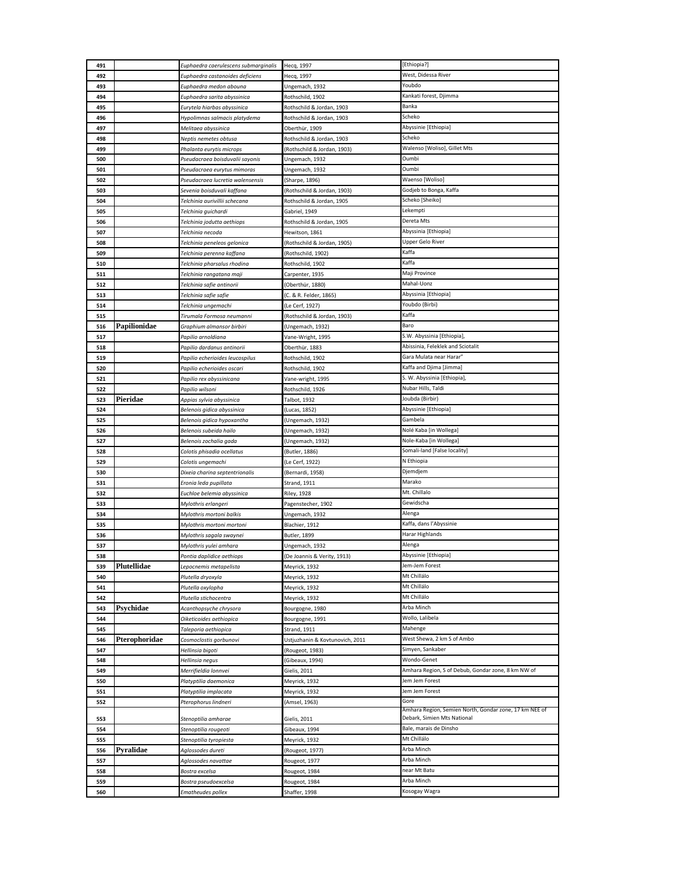| 491 |               | Euphaedra caerulescens submarginalis | Hecq, 1997                      | [Ethiopia?]                                                                           |
|-----|---------------|--------------------------------------|---------------------------------|---------------------------------------------------------------------------------------|
| 492 |               | Euphaedra castanoides deficiens      | Hecg, 1997                      | West, Didessa River                                                                   |
| 493 |               | Euphaedra medon abouna               | Ungemach, 1932                  | Youbdo                                                                                |
| 494 |               | Euphaedra sarita abyssinica          | Rothschild, 1902                | Kankati forest, Djimma                                                                |
| 495 |               | Eurytela hiarbas abyssinica          | Rothschild & Jordan, 1903       | Banka                                                                                 |
| 496 |               | Hypolimnas salmacis platydema        | Rothschild & Jordan, 1903       | Scheko                                                                                |
| 497 |               | Melitaea abyssinica                  | Oberthür, 1909                  | Abyssinie [Ethiopia]                                                                  |
| 498 |               | Neptis nemetes obtusa                | Rothschild & Jordan, 1903       | Scheko                                                                                |
| 499 |               | Phalanta eurytis microps             | (Rothschild & Jordan, 1903)     | Walenso [Woliso], Gillet Mts                                                          |
| 500 |               | Pseudacraea boisduvalii sayonis      | Ungemach, 1932                  | Oumbi                                                                                 |
| 501 |               | Pseudacraea eurytus mimoras          | Ungemach, 1932                  | Oumbi                                                                                 |
| 502 |               | Pseudacraea lucretia walensensis     | (Sharpe, 1896)                  | Waenso [Woliso]                                                                       |
| 503 |               | Sevenia boisduvali kaffana           | (Rothschild & Jordan, 1903)     | Godjeb to Bonga, Kaffa                                                                |
| 504 |               | Telchinia aurivillii schecana        | Rothschild & Jordan, 1905       | Scheko [Sheiko]                                                                       |
| 505 |               | Telchinia quichardi                  | Gabriel, 1949                   | Lekempti                                                                              |
| 506 |               | Telchinia jodutta aethiops           | Rothschild & Jordan, 1905       | Dereta Mts                                                                            |
| 507 |               | Telchinia necoda                     | Hewitson, 1861                  | Abyssinia [Ethiopia]                                                                  |
| 508 |               | Telchinia peneleos gelonica          | (Rothschild & Jordan, 1905)     | Upper Gelo River                                                                      |
| 509 |               | Telchinia perenna kaffana            | (Rothschild, 1902)              | Kaffa                                                                                 |
| 510 |               | Telchinia pharsalus rhodina          | Rothschild, 1902                | Kaffa                                                                                 |
| 511 |               | Telchinia rangatana maji             | Carpenter, 1935                 | Maji Province                                                                         |
| 512 |               | Telchinia safie antinorii            | (Oberthür, 1880)                | Mahal-Uonz                                                                            |
| 513 |               | Telchinia safie safie                | (C. & R. Felder, 1865)          | Abyssinia [Ethiopia]                                                                  |
| 514 |               | Telchinia ungemachi                  | (Le Cerf, 1927)                 | Youbdo (Birbi)                                                                        |
| 515 |               | Tirumala Formosa neumanni            | (Rothschild & Jordan, 1903)     | Kaffa                                                                                 |
| 516 | Papilionidae  | Graphium almansor birbiri            | (Ungemach, 1932)                | Baro                                                                                  |
| 517 |               | Papilio arnoldiana                   | Vane-Wright, 1995               | S.W. Abyssinia [Ethiopia],                                                            |
| 518 |               | Papilio dardanus antinorii           | Oberthür, 1883                  | Abissinia, Feleklek and Sciotalit                                                     |
| 519 |               | Papilio echerioides leucospilus      | Rothschild, 1902                | Gara Mulata near Harar'                                                               |
| 520 |               | Papilio echerioides oscari           | Rothschild, 1902                | Kaffa and Djima [Jimma]                                                               |
| 521 |               | Papilio rex abyssinicana             | Vane-wright, 1995               | S. W. Abyssinia [Ethiopia],                                                           |
| 522 |               | Papilio wilsoni                      | Rothschild, 1926                | Nubar Hills, Taldi                                                                    |
| 523 | Pieridae      | Appias sylvia abyssinica             | Talbot, 1932                    | Joubda (Birbir)                                                                       |
| 524 |               | Belenois gidica abyssinica           | (Lucas, 1852)                   | Abyssinie [Ethiopia]                                                                  |
| 525 |               | Belenois gidica hypoxantha           | (Ungemach, 1932)                | Gambela                                                                               |
| 526 |               | Belenois subeida hailo               | (Ungemach, 1932)                | Nolé Kaba [in Wollega]                                                                |
| 527 |               | Belenois zochalia gada               | (Ungemach, 1932)                | Nole-Kaba [in Wollega]                                                                |
| 528 |               | Colotis phisadia ocellatus           | (Butler, 1886)                  | Somali-land [False locality]                                                          |
|     |               |                                      |                                 |                                                                                       |
| 529 |               | Colotis ungemachi                    | (Le Cerf, 1922)                 | N Ethiopia                                                                            |
| 530 |               | Dixeia charina septentrionalis       | (Bernardi, 1958)                | Djemdjem                                                                              |
| 531 |               | Eronia leda pupillata                | Strand, 1911                    | Marako                                                                                |
| 532 |               | Euchloe belemia abyssinica           | <b>Riley, 1928</b>              | Mt. Chillalo                                                                          |
| 533 |               | Mylothris erlangeri                  | Pagenstecher, 1902              | Gewidscha                                                                             |
| 534 |               | Mylothris mortoni balkis             | Ungemach, 1932                  | Alenga                                                                                |
| 535 |               | Mylothris mortoni mortoni            | Blachier, 1912                  | Kaffa, dans l'Abyssinie                                                               |
| 536 |               | Mylothris sagala swaynei             | <b>Butler, 1899</b>             | Harar Highlands                                                                       |
| 537 |               | Mylothris yulei amhara               | Ungemach, 1932                  | Alenga                                                                                |
| 538 |               | Pontia daplidice aethiops            | (De Joannis & Verity, 1913)     | Abyssinie [Ethiopia]                                                                  |
| 539 | Plutellidae   | Lepocnemis metapelista               | Meyrick, 1932                   | Jem-Jem Forest                                                                        |
| 540 |               | Plutella dryoxyla                    | Meyrick, 1932                   | Mt Chillálo                                                                           |
| 541 |               | Plutella oxylopha                    | Meyrick, 1932                   | Mt Chillálo                                                                           |
| 542 |               | Plutella stichocentra                | Meyrick, 1932                   | Mt Chillálo                                                                           |
| 543 | Psychidae     | Acanthopsyche chrysora               | Bourgogne, 1980                 | Arba Minch                                                                            |
| 544 |               | Oiketicoides aethiopica              | Bourgogne, 1991                 | Wollo, Lalibela                                                                       |
| 545 |               | Taleporia aethiopica                 | Strand, 1911                    | Mahenge                                                                               |
| 546 | Pterophoridae | Cosmoclostis gorbunovi               | Ustjuzhanin & Kovtunovich, 2011 | West Shewa, 2 km S of Ambo                                                            |
| 547 |               | Hellinsia bigoti                     | (Rougeot, 1983)                 | Simyen, Sankaber                                                                      |
| 548 |               | Hellinsia negus                      | (Gibeaux, 1994)                 | Wondo-Genet                                                                           |
| 549 |               | Merrifieldia lonnvei                 | Gielis, 2011                    | Amhara Region, S of Debub, Gondar zone, 8 km NW of                                    |
| 550 |               | Platyptilia daemonica                | Meyrick, 1932                   | Jem Jem Forest                                                                        |
| 551 |               | Platyptilia implacata                | Meyrick, 1932                   | Jem Jem Forest                                                                        |
| 552 |               | Pterophorus lindneri                 | (Amsel, 1963)                   | Gore                                                                                  |
| 553 |               | Stenoptilia amharae                  | Gielis, 2011                    | Amhara Region, Semien North, Gondar zone, 17 km NEE of<br>Debark, Simien Mts National |
| 554 |               | Stenoptilia rougeoti                 | Gibeaux, 1994                   | Bale, marais de Dinsho                                                                |
| 555 |               | Stenoptilia tyropiesta               | Meyrick, 1932                   | Mt Chillálo                                                                           |
| 556 | Pyralidae     | Aglossodes dureti                    | (Rougeot, 1977)                 | Arba Minch                                                                            |
| 557 |               | Aglossodes navattae                  | Rougeot, 1977                   | Arba Minch                                                                            |
| 558 |               | Bostra excelsa                       | Rougeot, 1984                   | near Mt Batu                                                                          |
| 559 |               | Bostra pseudoexcelsa                 | Rougeot, 1984                   | Arba Minch                                                                            |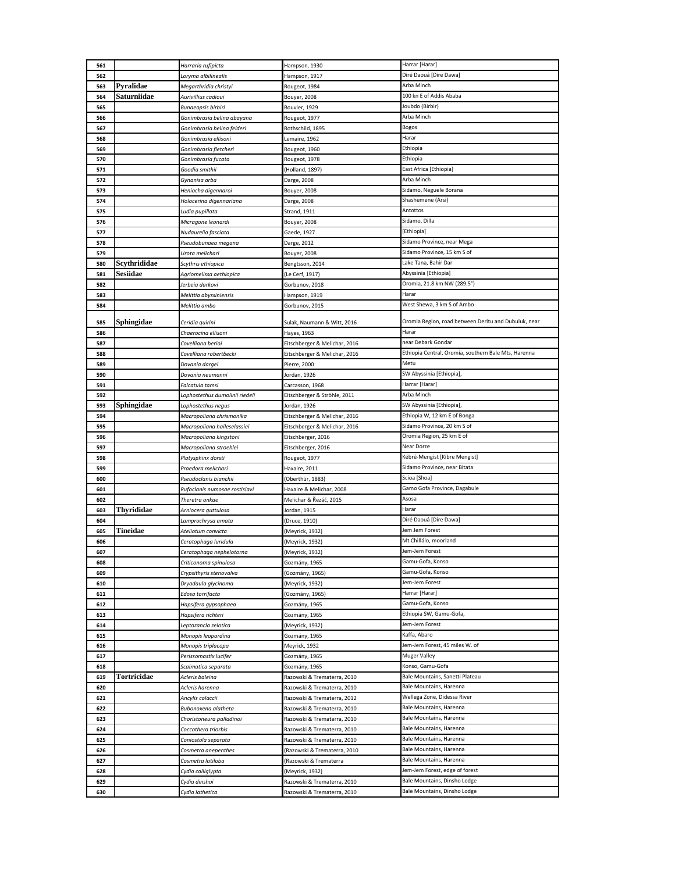| 561        |              | Harraria rufipicta               | Hampson, 1930                                              | Harrar [Harar]                                               |
|------------|--------------|----------------------------------|------------------------------------------------------------|--------------------------------------------------------------|
| 562        |              | Loryma albilinealis              | Hampson, 1917                                              | Diré Daouá [Dire Dawa]                                       |
| 563        | Pyralidae    | Megarthridia christyi            | Rougeot, 1984                                              | Arba Minch                                                   |
| 564        | Saturniidae  | Aurivillius cadioui              | <b>Bouyer, 2008</b>                                        | 100 kn E of Addis Ababa                                      |
| 565        |              | Bunaeopsis birbiri               | Bouvier, 1929                                              | Joubdo (Birbir)                                              |
| 566        |              | Gonimbrasia belina abayana       | Rougeot, 1977                                              | Arba Minch                                                   |
| 567        |              | Gonimbrasia belina felderi       | Rothschild, 1895                                           | <b>Bogos</b>                                                 |
|            |              |                                  |                                                            | Harar                                                        |
| 568        |              | Gonimbrasia ellisoni             | Lemaire, 1962                                              |                                                              |
| 569        |              | Gonimbrasia fletcheri            | Rougeot, 1960                                              | Ethiopia                                                     |
| 570        |              | Gonimbrasia fucata               | Rougeot, 1978                                              | Ethiopia                                                     |
| 571        |              | Goodia smithii                   | (Holland, 1897)                                            | East Africa [Ethiopia]                                       |
| 572        |              | Gynanisa arba                    | Darge, 2008                                                | Arba Minch                                                   |
| 573        |              | Heniocha digennaroi              | Bouyer, 2008                                               | Sidamo, Neguele Borana                                       |
| 574        |              | Holocerina digennariana          | Darge, 2008                                                | Shashemene (Arsi)                                            |
| 575        |              | Ludia pupillata                  | Strand, 1911                                               | Antottos                                                     |
| 576        |              | Micragone leonardi               | <b>Bouyer, 2008</b>                                        | Sidamo, Dilla                                                |
| 577        |              | Nudaurelia fasciata              | Gaede, 1927                                                | [Ethiopia]                                                   |
| 578        |              | Pseudobunaea megana              | Darge, 2012                                                | Sidamo Province, near Mega                                   |
| 579        |              | Urota melichari                  | Bouyer, 2008                                               | Sidamo Province, 15 km S of                                  |
| 580        | Scythrididae | Scythris ethiopica               | Bengtsson, 2014                                            | Lake Tana, Bahir Dar                                         |
| 581        | Sesiidae     | Agriomelissa aethiopica          | (Le Cerf, 1917)                                            | Abyssinia [Ethiopia]                                         |
| 582        |              | Jerbeia darkovi                  | Gorbunov, 2018                                             | Oromia, 21.8 km NW (289.5°)                                  |
| 583        |              | Melittia abyssiniensis           | Hampson, 1919                                              | Harar                                                        |
| 584        |              | Melittia ambo                    | Gorbunov, 2015                                             | West Shewa, 3 km S of Ambo                                   |
|            |              |                                  |                                                            |                                                              |
| 585        | Sphingidae   | Ceridia quirini                  | Sulak, Naumann & Witt, 2016                                | Oromia Region, road between Deritu and Dubuluk, near         |
| 586        |              | Chaerocina ellisoni              | Hayes, 1963                                                | Harar                                                        |
| 587        |              | Covelliana berioi                | Eitschberger & Melichar, 2016                              | near Debark Gondar                                           |
| 588        |              | Covelliana robertbecki           | Eitschberger & Melichar, 2016                              | Ethiopia Central, Oromia, southern Bale Mts, Harenna         |
| 589        |              | Dovania dargei                   | Pierre, 2000                                               | Metu                                                         |
| 590        |              | Dovania neumanni                 | Jordan, 1926                                               | SW Abyssinia [Ethiopia],                                     |
| 591        |              | Falcatula tamsi                  | Carcasson, 1968                                            | Harrar [Harar]                                               |
| 592        |              | Lophostethus dumolinii riedeli   | Eitschberger & Ströhle, 2011                               | Arba Minch                                                   |
| 593        | Sphingidae   | Lophostethus negus               | Jordan, 1926                                               | SW Abyssinia [Ethiopia],                                     |
| 594        |              | Macropoliana chrismonika         | Eitschberger & Melichar, 2016                              | Ethiopia W, 12 km E of Bonga                                 |
| 595        |              | Macropoliana haileselassiei      | Eitschberger & Melichar, 2016                              | Sidamo Province, 20 km S of                                  |
| 596        |              | Macropoliana kingstoni           | Eitschberger, 2016                                         | Oromia Region, 25 km E of                                    |
| 597        |              | Macropoliana stroehlei           | Eitschberger, 2016                                         | Near Dorze                                                   |
| 598        |              | Platysphinx dorsti               | Rougeot, 1977                                              | Kébré-Mengist [Kibre Mengist]                                |
|            |              |                                  |                                                            |                                                              |
|            |              |                                  |                                                            |                                                              |
| 599        |              | Praedora melichari               | Haxaire, 2011                                              | Sidamo Province, near Bitata                                 |
| 600        |              | Pseudoclanis bianchii            | (Oberthür, 1883)                                           | Scioa [Shoa]                                                 |
| 601        |              | Rufoclanis numosae rostislavi    | Haxaire & Melichar, 2008                                   | Gamo Gofa Province, Dagabule                                 |
| 602        |              | Theretra ankae                   | Melichar & Řezáč, 2015                                     | Asosa                                                        |
| 603        | Thvrididae   | Arniocera guttulosa              | Jordan, 1915                                               | Harar                                                        |
| 604        |              | Lamprochrysa amata               | (Druce, 1910)                                              | Diré Daouá [Dire Dawa]                                       |
| 605        | Tineidae     | Ateliotum convicta               | (Meyrick, 1932)                                            | Jem Jem Forest                                               |
| 606        |              | Ceratophaga luridula             | (Meyrick, 1932)                                            | Mt Chillálo, moorland                                        |
| 607        |              | Ceratophaga nephelotorna         | Meyrick, 1932)                                             | lem-Jem Forest                                               |
| 608        |              | Criticonoma spinulosa            | Gozmány, 1965                                              | Gamu-Gofa, Konso                                             |
| 609        |              | Crypsithyris stenovalva          | (Gozmány, 1965)                                            | Gamu-Gofa, Konso                                             |
| 610        |              | Dryadaula glycinoma              | (Meyrick, 1932)                                            | Jem-Jem Forest                                               |
| 611        |              | Edosa torrifacta                 | (Gozmány, 1965)                                            | Harrar [Harar]                                               |
| 612        |              | Hapsifera gypsophaea             | Gozmány, 1965                                              | Gamu-Gofa, Konso                                             |
| 613        |              | Hapsifera richteri               | Gozmány, 1965                                              | Ethiopia SW, Gamu-Gofa,                                      |
| 614        |              | Leptozancla zelotica             | (Meyrick, 1932)                                            | Jem-Jem Forest                                               |
| 615        |              | Monopis leopardina               | Gozmány, 1965                                              | Kaffa, Abaro                                                 |
| 616        |              | Monopis triplacopa               | Meyrick, 1932                                              | Jem-Jem Forest, 45 miles W. of                               |
| 617        |              | Perissomastix lucifer            | Gozmány, 1965                                              | Muger Valley                                                 |
| 618        |              | Scalmatica separata              | Gozmány, 1965                                              | Konso, Gamu-Gofa                                             |
| 619        | Tortricidae  | Acleris baleina                  | Razowski & Trematerra, 2010                                | Bale Mountains, Sanetti Plateau                              |
| 620        |              | Acleris harenna                  | Razowski & Trematerra, 2010                                | Bale Mountains, Harenna                                      |
| 621        |              | Ancylis colaccii                 | Razowski & Trematerra, 2012                                | Wellega Zone, Didessa River                                  |
| 622        |              | Bubonoxena alatheta              | Razowski & Trematerra, 2010                                | Bale Mountains, Harenna                                      |
| 623        |              | Choristoneura palladinoi         | Razowski & Trematerra, 2010                                | Bale Mountains, Harenna                                      |
| 624        |              | Coccothera triorbis              | Razowski & Trematerra, 2010                                | Bale Mountains, Harenna                                      |
| 625        |              |                                  |                                                            | Bale Mountains, Harenna                                      |
|            |              | Coniostola separata              | Razowski & Trematerra, 2010                                | Bale Mountains, Harenna                                      |
| 626        |              | Cosmetra anepenthes              | (Razowski & Trematerra, 2010                               | Bale Mountains, Harenna                                      |
| 627        |              | Cosmetra latiloba                | (Razowski & Trematerra                                     |                                                              |
| 628        |              | Cydia calliglypta                | (Meyrick, 1932)                                            | Jem-Jem Forest, edge of forest                               |
| 629<br>630 |              | Cydia dinshoi<br>Cydia lathetica | Razowski & Trematerra, 2010<br>Razowski & Trematerra, 2010 | Bale Mountains, Dinsho Lodge<br>Bale Mountains, Dinsho Lodge |